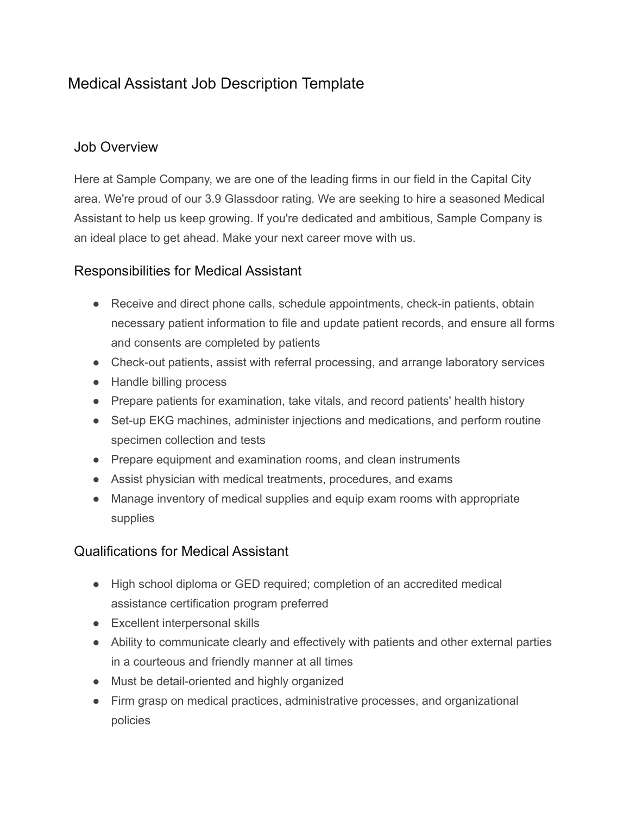## Medical Assistant Job Description Template

## Job Overview

Here at Sample Company, we are one of the leading firms in our field in the Capital City area. We're proud of our 3.9 Glassdoor rating. We are seeking to hire a seasoned Medical Assistant to help us keep growing. If you're dedicated and ambitious, Sample Company is an ideal place to get ahead. Make your next career move with us.

## Responsibilities for Medical Assistant

- Receive and direct phone calls, schedule appointments, check-in patients, obtain necessary patient information to file and update patient records, and ensure all forms and consents are completed by patients
- Check-out patients, assist with referral processing, and arrange laboratory services
- Handle billing process
- Prepare patients for examination, take vitals, and record patients' health history
- Set-up EKG machines, administer injections and medications, and perform routine specimen collection and tests
- Prepare equipment and examination rooms, and clean instruments
- Assist physician with medical treatments, procedures, and exams
- Manage inventory of medical supplies and equip exam rooms with appropriate supplies

## Qualifications for Medical Assistant

- High school diploma or GED required; completion of an accredited medical assistance certification program preferred
- Excellent interpersonal skills
- Ability to communicate clearly and effectively with patients and other external parties in a courteous and friendly manner at all times
- Must be detail-oriented and highly organized
- Firm grasp on medical practices, administrative processes, and organizational policies